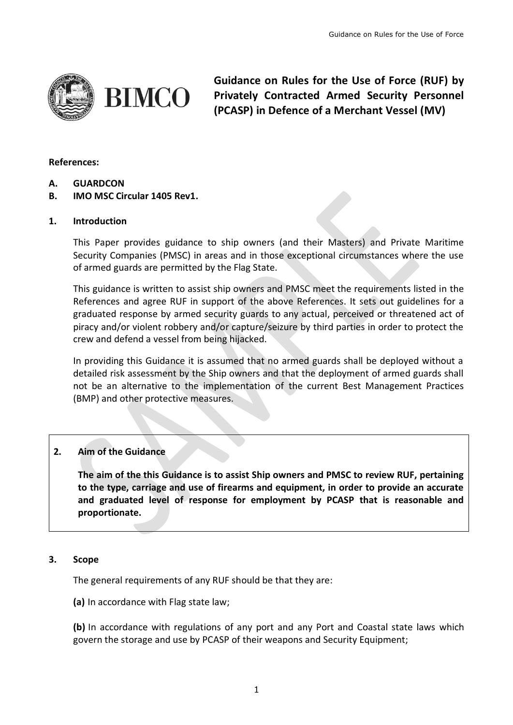

**Guidance on Rules for the Use of Force (RUF) by Privately Contracted Armed Security Personnel (PCASP) in Defence of a Merchant Vessel (MV)**

### **References:**

- **A. GUARDCON**
- **B. IMO MSC Circular 1405 Rev1.**

#### **1. Introduction**

This Paper provides guidance to ship owners (and their Masters) and Private Maritime Security Companies (PMSC) in areas and in those exceptional circumstances where the use of armed guards are permitted by the Flag State.

This guidance is written to assist ship owners and PMSC meet the requirements listed in the References and agree RUF in support of the above References. It sets out guidelines for a graduated response by armed security guards to any actual, perceived or threatened act of piracy and/or violent robbery and/or capture/seizure by third parties in order to protect the crew and defend a vessel from being hijacked.

In providing this Guidance it is assumed that no armed guards shall be deployed without a detailed risk assessment by the Ship owners and that the deployment of armed guards shall not be an alternative to the implementation of the current Best Management Practices (BMP) and other protective measures.

### **2. Aim of the Guidance**

**The aim of the this Guidance is to assist Ship owners and PMSC to review RUF, pertaining to the type, carriage and use of firearms and equipment, in order to provide an accurate and graduated level of response for employment by PCASP that is reasonable and proportionate.** 

#### **3. Scope**

The general requirements of any RUF should be that they are:

**(a)** In accordance with Flag state law;

**(b)** In accordance with regulations of any port and any Port and Coastal state laws which govern the storage and use by PCASP of their weapons and Security Equipment;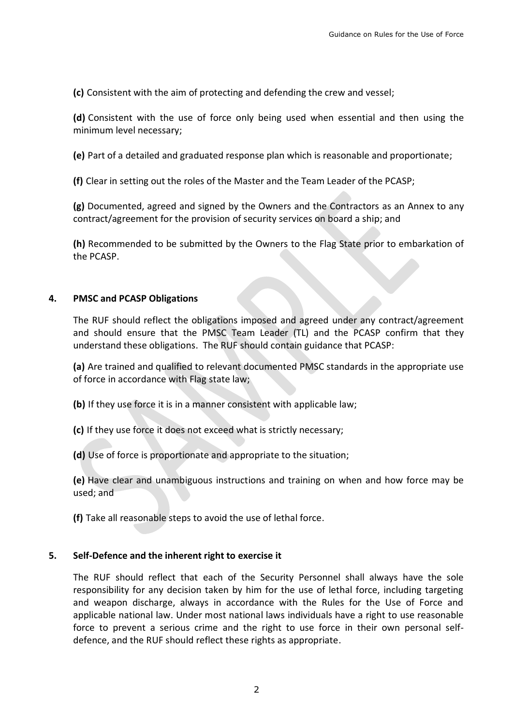**(c)** Consistent with the aim of protecting and defending the crew and vessel;

**(d)** Consistent with the use of force only being used when essential and then using the minimum level necessary;

**(e)** Part of a detailed and graduated response plan which is reasonable and proportionate;

**(f)** Clear in setting out the roles of the Master and the Team Leader of the PCASP;

**(g)** Documented, agreed and signed by the Owners and the Contractors as an Annex to any contract/agreement for the provision of security services on board a ship; and

**(h)** Recommended to be submitted by the Owners to the Flag State prior to embarkation of the PCASP.

### **4. PMSC and PCASP Obligations**

The RUF should reflect the obligations imposed and agreed under any contract/agreement and should ensure that the PMSC Team Leader (TL) and the PCASP confirm that they understand these obligations. The RUF should contain guidance that PCASP:

**(a)** Are trained and qualified to relevant documented PMSC standards in the appropriate use of force in accordance with Flag state law;

- **(b)** If they use force it is in a manner consistent with applicable law;
- **(c)** If they use force it does not exceed what is strictly necessary;
- **(d)** Use of force is proportionate and appropriate to the situation;

**(e)** Have clear and unambiguous instructions and training on when and how force may be used; and

**(f)** Take all reasonable steps to avoid the use of lethal force.

### **5. Self-Defence and the inherent right to exercise it**

The RUF should reflect that each of the Security Personnel shall always have the sole responsibility for any decision taken by him for the use of lethal force, including targeting and weapon discharge, always in accordance with the Rules for the Use of Force and applicable national law. Under most national laws individuals have a right to use reasonable force to prevent a serious crime and the right to use force in their own personal selfdefence, and the RUF should reflect these rights as appropriate.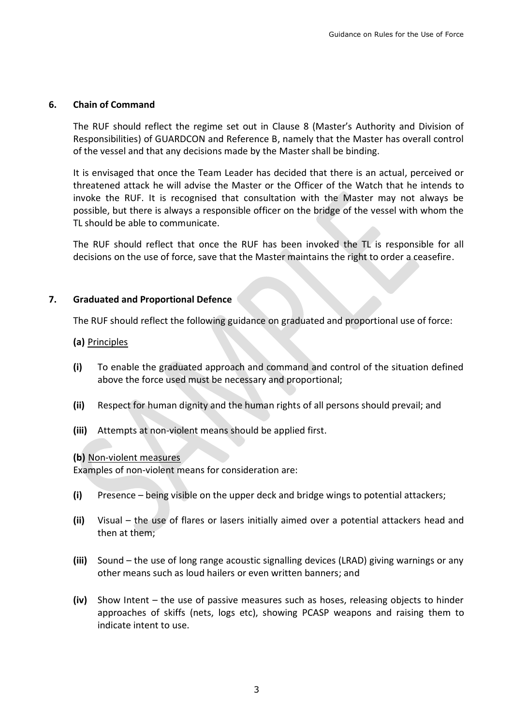### **6. Chain of Command**

The RUF should reflect the regime set out in Clause 8 (Master's Authority and Division of Responsibilities) of GUARDCON and Reference B, namely that the Master has overall control of the vessel and that any decisions made by the Master shall be binding.

It is envisaged that once the Team Leader has decided that there is an actual, perceived or threatened attack he will advise the Master or the Officer of the Watch that he intends to invoke the RUF. It is recognised that consultation with the Master may not always be possible, but there is always a responsible officer on the bridge of the vessel with whom the TL should be able to communicate.

The RUF should reflect that once the RUF has been invoked the TL is responsible for all decisions on the use of force, save that the Master maintains the right to order a ceasefire.

# **7. Graduated and Proportional Defence**

The RUF should reflect the following guidance on graduated and proportional use of force:

### **(a)** Principles

- **(i)** To enable the graduated approach and command and control of the situation defined above the force used must be necessary and proportional;
- **(ii)** Respect for human dignity and the human rights of all persons should prevail; and
- **(iii)** Attempts at non-violent means should be applied first.

### **(b)** Non-violent measures

Examples of non-violent means for consideration are:

- **(i)** Presence being visible on the upper deck and bridge wings to potential attackers;
- **(ii)** Visual the use of flares or lasers initially aimed over a potential attackers head and then at them;
- **(iii)** Sound the use of long range acoustic signalling devices (LRAD) giving warnings or any other means such as loud hailers or even written banners; and
- **(iv)** Show Intent the use of passive measures such as hoses, releasing objects to hinder approaches of skiffs (nets, logs etc), showing PCASP weapons and raising them to indicate intent to use.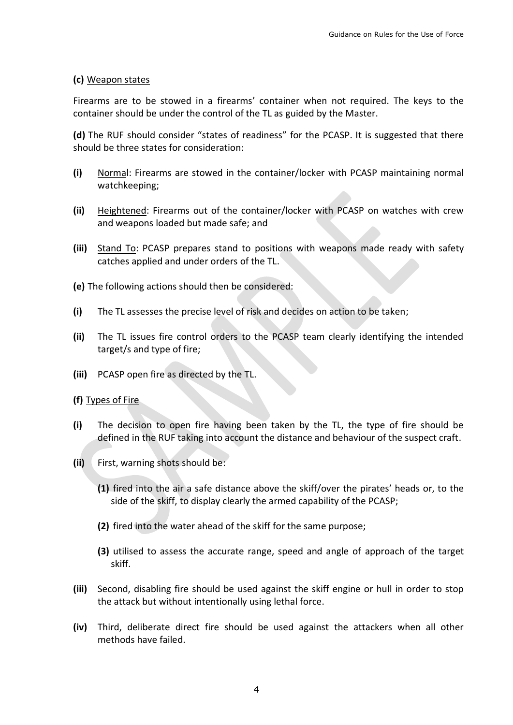### **(c)** Weapon states

Firearms are to be stowed in a firearms' container when not required. The keys to the container should be under the control of the TL as guided by the Master.

**(d)** The RUF should consider "states of readiness" for the PCASP. It is suggested that there should be three states for consideration:

- **(i)** Normal: Firearms are stowed in the container/locker with PCASP maintaining normal watchkeeping;
- **(ii)** Heightened: Firearms out of the container/locker with PCASP on watches with crew and weapons loaded but made safe; and
- **(iii)** Stand To: PCASP prepares stand to positions with weapons made ready with safety catches applied and under orders of the TL.
- **(e)** The following actions should then be considered:
- **(i)** The TL assesses the precise level of risk and decides on action to be taken;
- **(ii)** The TL issues fire control orders to the PCASP team clearly identifying the intended target/s and type of fire;
- **(iii)** PCASP open fire as directed by the TL.
- **(f)** Types of Fire
- **(i)** The decision to open fire having been taken by the TL, the type of fire should be defined in the RUF taking into account the distance and behaviour of the suspect craft.
- **(ii)** First, warning shots should be:
	- **(1)** fired into the air a safe distance above the skiff/over the pirates' heads or, to the side of the skiff, to display clearly the armed capability of the PCASP;
	- **(2)** fired into the water ahead of the skiff for the same purpose;
	- **(3)** utilised to assess the accurate range, speed and angle of approach of the target skiff.
- **(iii)** Second, disabling fire should be used against the skiff engine or hull in order to stop the attack but without intentionally using lethal force.
- **(iv)** Third, deliberate direct fire should be used against the attackers when all other methods have failed.